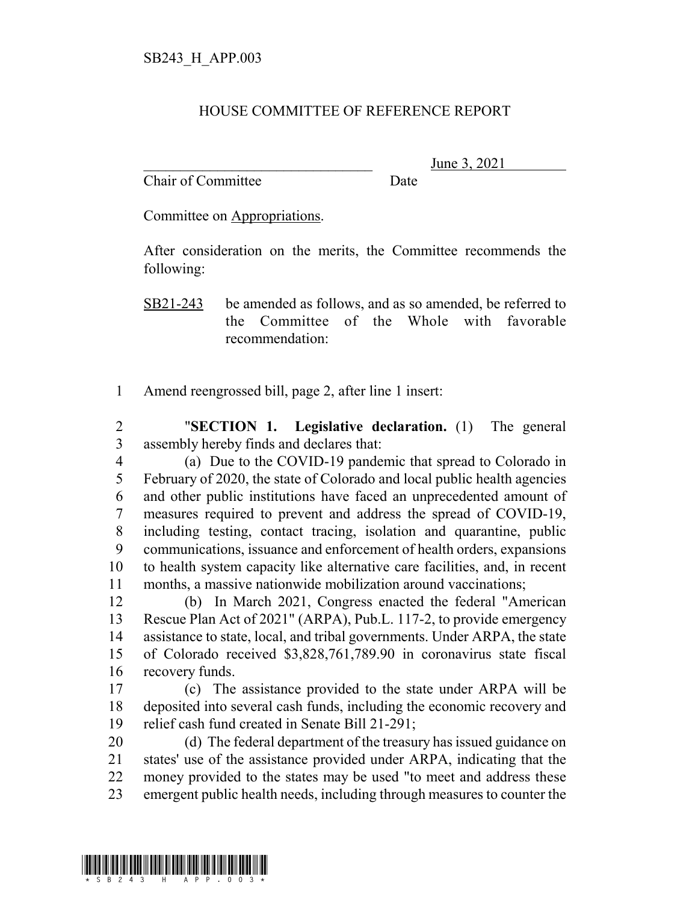## HOUSE COMMITTEE OF REFERENCE REPORT

Chair of Committee Date

June 3, 2021

Committee on Appropriations.

After consideration on the merits, the Committee recommends the following:

SB21-243 be amended as follows, and as so amended, be referred to the Committee of the Whole with favorable recommendation:

Amend reengrossed bill, page 2, after line 1 insert:

 "**SECTION 1. Legislative declaration.** (1) The general assembly hereby finds and declares that:

 (a) Due to the COVID-19 pandemic that spread to Colorado in February of 2020, the state of Colorado and local public health agencies and other public institutions have faced an unprecedented amount of measures required to prevent and address the spread of COVID-19, including testing, contact tracing, isolation and quarantine, public communications, issuance and enforcement of health orders, expansions to health system capacity like alternative care facilities, and, in recent months, a massive nationwide mobilization around vaccinations;

 (b) In March 2021, Congress enacted the federal "American Rescue Plan Act of 2021" (ARPA), Pub.L. 117-2, to provide emergency assistance to state, local, and tribal governments. Under ARPA, the state of Colorado received \$3,828,761,789.90 in coronavirus state fiscal recovery funds.

 (c) The assistance provided to the state under ARPA will be deposited into several cash funds, including the economic recovery and relief cash fund created in Senate Bill 21-291;

 (d) The federal department of the treasury has issued guidance on states' use of the assistance provided under ARPA, indicating that the money provided to the states may be used "to meet and address these emergent public health needs, including through measures to counter the